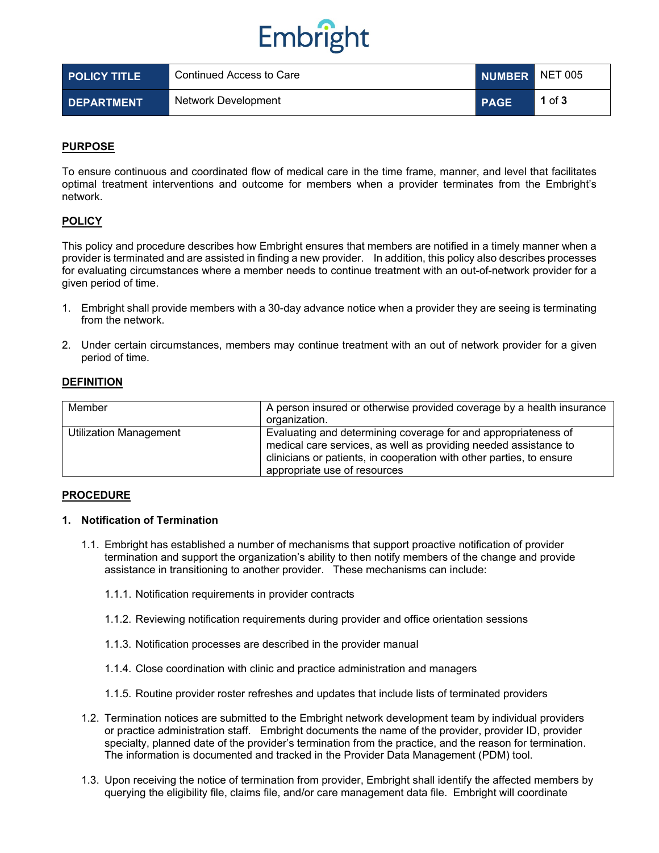# Embright

| <b>POLICY TITLE</b> | Continued Access to Care | NUMBER NET 005 |          |
|---------------------|--------------------------|----------------|----------|
| <b>DEPARTMENT</b>   | Network Development      | <b>PAGE</b>    | 1 of $3$ |

## **PURPOSE**

To ensure continuous and coordinated flow of medical care in the time frame, manner, and level that facilitates optimal treatment interventions and outcome for members when a provider terminates from the Embright's network.

## **POLICY**

This policy and procedure describes how Embright ensures that members are notified in a timely manner when a provider is terminated and are assisted in finding a new provider. In addition, this policy also describes processes for evaluating circumstances where a member needs to continue treatment with an out-of-network provider for a given period of time.

- 1. Embright shall provide members with a 30-day advance notice when a provider they are seeing is terminating from the network.
- 2. Under certain circumstances, members may continue treatment with an out of network provider for a given period of time.

### **DEFINITION**

| Member                 | A person insured or otherwise provided coverage by a health insurance<br>organization.                                                                                                                                                     |
|------------------------|--------------------------------------------------------------------------------------------------------------------------------------------------------------------------------------------------------------------------------------------|
| Utilization Management | Evaluating and determining coverage for and appropriateness of<br>medical care services, as well as providing needed assistance to<br>clinicians or patients, in cooperation with other parties, to ensure<br>appropriate use of resources |

### **PROCEDURE**

### **1. Notification of Termination**

- 1.1. Embright has established a number of mechanisms that support proactive notification of provider termination and support the organization's ability to then notify members of the change and provide assistance in transitioning to another provider. These mechanisms can include:
	- 1.1.1. Notification requirements in provider contracts
	- 1.1.2. Reviewing notification requirements during provider and office orientation sessions
	- 1.1.3. Notification processes are described in the provider manual
	- 1.1.4. Close coordination with clinic and practice administration and managers
	- 1.1.5. Routine provider roster refreshes and updates that include lists of terminated providers
- 1.2. Termination notices are submitted to the Embright network development team by individual providers or practice administration staff. Embright documents the name of the provider, provider ID, provider specialty, planned date of the provider's termination from the practice, and the reason for termination. The information is documented and tracked in the Provider Data Management (PDM) tool.
- 1.3. Upon receiving the notice of termination from provider, Embright shall identify the affected members by querying the eligibility file, claims file, and/or care management data file. Embright will coordinate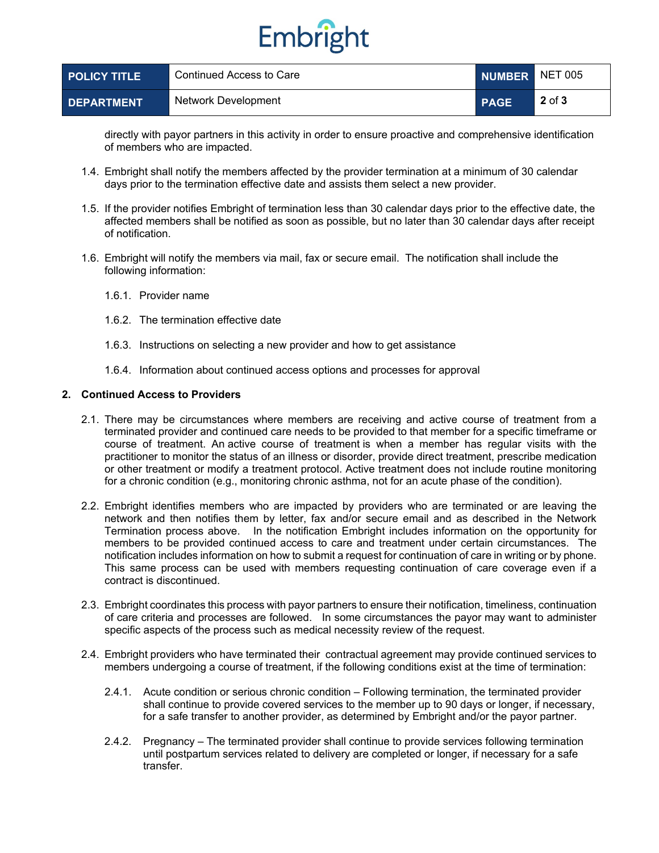# Embright

| <b>POLICY TITLE</b> | Continued Access to Care | NUMBER NET 005 |            |
|---------------------|--------------------------|----------------|------------|
| <b>DEPARTMENT</b>   | Network Development      | <b>PAGE</b>    | $2$ of $3$ |

directly with payor partners in this activity in order to ensure proactive and comprehensive identification of members who are impacted.

- 1.4. Embright shall notify the members affected by the provider termination at a minimum of 30 calendar days prior to the termination effective date and assists them select a new provider.
- 1.5. If the provider notifies Embright of termination less than 30 calendar days prior to the effective date, the affected members shall be notified as soon as possible, but no later than 30 calendar days after receipt of notification.
- 1.6. Embright will notify the members via mail, fax or secure email. The notification shall include the following information:
	- 1.6.1. Provider name
	- 1.6.2. The termination effective date
	- 1.6.3. Instructions on selecting a new provider and how to get assistance
	- 1.6.4. Information about continued access options and processes for approval

#### **2. Continued Access to Providers**

- 2.1. There may be circumstances where members are receiving and active course of treatment from a terminated provider and continued care needs to be provided to that member for a specific timeframe or course of treatment. An active course of treatment is when a member has regular visits with the practitioner to monitor the status of an illness or disorder, provide direct treatment, prescribe medication or other treatment or modify a treatment protocol. Active treatment does not include routine monitoring for a chronic condition (e.g., monitoring chronic asthma, not for an acute phase of the condition).
- 2.2. Embright identifies members who are impacted by providers who are terminated or are leaving the network and then notifies them by letter, fax and/or secure email and as described in the Network Termination process above. In the notification Embright includes information on the opportunity for members to be provided continued access to care and treatment under certain circumstances. The notification includes information on how to submit a request for continuation of care in writing or by phone. This same process can be used with members requesting continuation of care coverage even if a contract is discontinued.
- 2.3. Embright coordinates this process with payor partners to ensure their notification, timeliness, continuation of care criteria and processes are followed. In some circumstances the payor may want to administer specific aspects of the process such as medical necessity review of the request.
- 2.4. Embright providers who have terminated their contractual agreement may provide continued services to members undergoing a course of treatment, if the following conditions exist at the time of termination:
	- 2.4.1. Acute condition or serious chronic condition Following termination, the terminated provider shall continue to provide covered services to the member up to 90 days or longer, if necessary, for a safe transfer to another provider, as determined by Embright and/or the payor partner.
	- 2.4.2. Pregnancy The terminated provider shall continue to provide services following termination until postpartum services related to delivery are completed or longer, if necessary for a safe transfer.